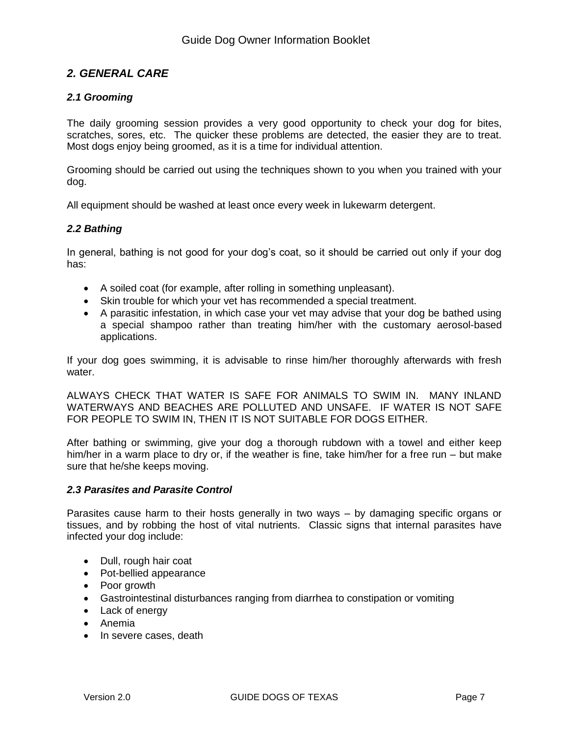# *2. GENERAL CARE*

## *2.1 Grooming*

The daily grooming session provides a very good opportunity to check your dog for bites, scratches, sores, etc. The quicker these problems are detected, the easier they are to treat. Most dogs enjoy being groomed, as it is a time for individual attention.

Grooming should be carried out using the techniques shown to you when you trained with your dog.

All equipment should be washed at least once every week in lukewarm detergent.

## *2.2 Bathing*

In general, bathing is not good for your dog's coat, so it should be carried out only if your dog has:

- A soiled coat (for example, after rolling in something unpleasant).
- Skin trouble for which your vet has recommended a special treatment.
- A parasitic infestation, in which case your vet may advise that your dog be bathed using a special shampoo rather than treating him/her with the customary aerosol-based applications.

If your dog goes swimming, it is advisable to rinse him/her thoroughly afterwards with fresh water.

ALWAYS CHECK THAT WATER IS SAFE FOR ANIMALS TO SWIM IN. MANY INLAND WATERWAYS AND BEACHES ARE POLLUTED AND UNSAFE. IF WATER IS NOT SAFE FOR PEOPLE TO SWIM IN, THEN IT IS NOT SUITABLE FOR DOGS EITHER.

After bathing or swimming, give your dog a thorough rubdown with a towel and either keep him/her in a warm place to dry or, if the weather is fine, take him/her for a free run – but make sure that he/she keeps moving.

## *2.3 Parasites and Parasite Control*

Parasites cause harm to their hosts generally in two ways – by damaging specific organs or tissues, and by robbing the host of vital nutrients. Classic signs that internal parasites have infected your dog include:

- Dull, rough hair coat
- Pot-bellied appearance
- Poor growth
- Gastrointestinal disturbances ranging from diarrhea to constipation or vomiting
- Lack of energy
- Anemia
- In severe cases, death